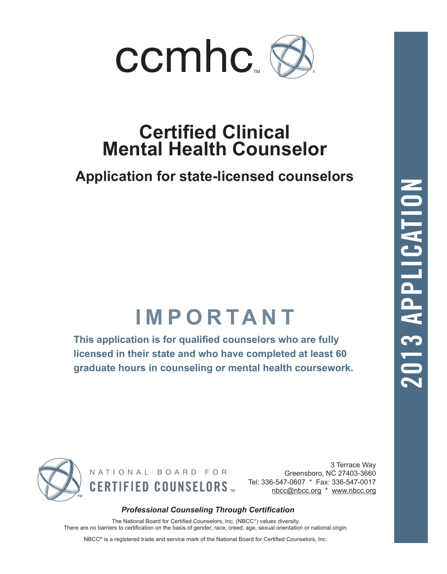

# **Certified Clinical Mental Health Counselor**

## **Application for state-licensed counselors**

# **IMPORTANT**

**This application is for qualified counselors who are fully licensed in their state and who have completed at least 60 graduate hours in counseling or mental health coursework.**



NATIONAL BOARD FOR  $\textbf{CERTIFIED COUNSELORS}$  Tel: 336-547-0607 \* Fax: 336-547-0017

3 Terrace Way Greensboro, NC 27403-3660 Tel: 336-547-0607 \* Fax: 336-547-0017

## *Professional Counseling Through Certification*

The National Board for Certified Counselors, Inc. (NBCC®) values diversity. There are no barriers to certification on the basis of gender, race, creed, age, sexual orientation or national origin.

NBCC® is a registered trade and service mark of the National Board for Certified Counselors, Inc.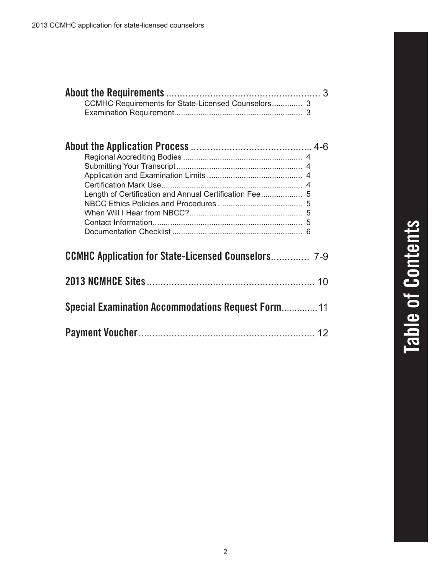| Length of Certification and Annual Certification Fee 5     |    |
|------------------------------------------------------------|----|
| <b>CCMHC Application for State-Licensed Counselors</b> 7-9 |    |
|                                                            | 10 |
| <b>Special Examination Accommodations Request Form 11</b>  |    |
|                                                            |    |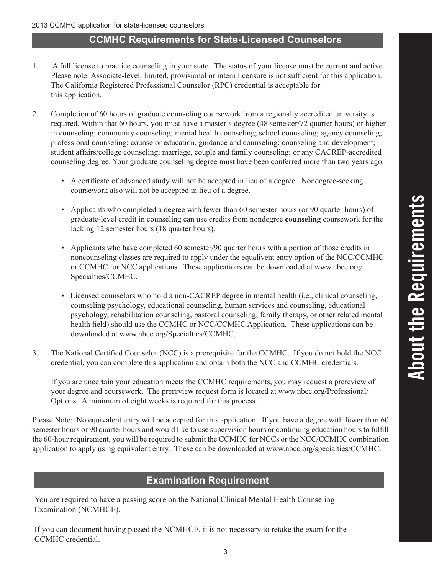## **CCMHC Requirements for State-Licensed Counselors**

- 1. A full license to practice counseling in your state. The status of your license must be current and active. Please note: Associate-level, limited, provisional or intern licensure is not sufficient for this application. The California Registered Professional Counselor (RPC) credential is acceptable for this application.
- 2. Completion of 60 hours of graduate counseling coursework from a regionally accredited university is required. Within that 60 hours, you must have a master's degree (48 semester/72 quarter hours) or higher in counseling; community counseling; mental health counseling; school counseling; agency counseling; professional counseling; counselor education, guidance and counseling; counseling and development; student affairs/college counseling; marriage, couple and family counseling; or any CACREP-accredited counseling degree. Your graduate counseling degree must have been conferred more than two years ago.
	- A certificate of advanced study will not be accepted in lieu of a degree. Nondegree-seeking coursework also will not be accepted in lieu of a degree.
	- Applicants who completed a degree with fewer than 60 semester hours (or 90 quarter hours) of graduate-level credit in counseling can use credits from nondegree **counseling** coursework for the lacking 12 semester hours (18 quarter hours).
	- Applicants who have completed 60 semester/90 quarter hours with a portion of those credits in noncounseling classes are required to apply under the equalivent entry option of the NCC/CCMHC or CCMHC for NCC applications. These applications can be downloaded at www.nbcc.org/ Specialties/CCMHC.
	- Licensed counselors who hold a non-CACREP degree in mental health (i.e., clinical counseling, counseling psychology, educational counseling, human services and counseling, educational psychology, rehabilitation counseling, pastoral counseling, family therapy, or other related mental health field) should use the CCMHC or NCC/CCMHC Application. These applications can be downloaded at www.nbcc.org/Specialties/CCMHC.
- 3. The National Certified Counselor (NCC) is a prerequisite for the CCMHC. If you do not hold the NCC credential, you can complete this application and obtain both the NCC and CCMHC credentials.

If you are uncertain your education meets the CCMHC requirements, you may request a prereview of your degree and coursework. The prereview request form is located at www.nbcc.org/Professional/ Options. A minimum of eight weeks is required for this process.

Please Note: No equivalent entry will be accepted for this application. If you have a degree with fewer than 60 semester hours or 90 quarter hours and would like to use supervision hours or continuing education hours to fulfill the 60-hour requirement, you will be required to submit the CCMHC for NCCs or the NCC/CCMHC combination application to apply using equivalent entry. These can be downloaded at www.nbcc.org/specialties/CCMHC.

## **Examination Requirement**

You are required to have a passing score on the National Clinical Mental Health Counseling Examination (NCMHCE).

If you can document having passed the NCMHCE, it is not necessary to retake the exam for the CCMHC credential.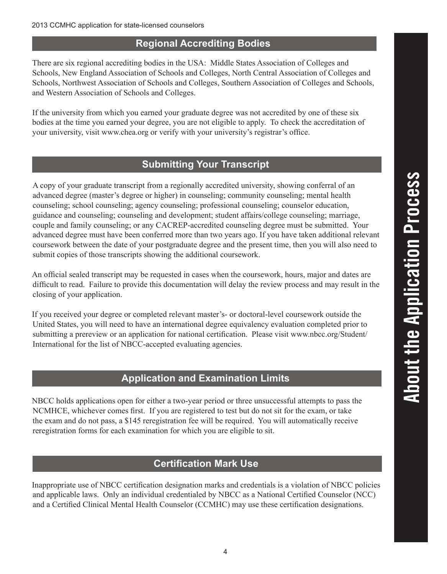## **Regional Accrediting Bodies**

There are six regional accrediting bodies in the USA: Middle States Association of Colleges and Schools, New England Association of Schools and Colleges, North Central Association of Colleges and Schools, Northwest Association of Schools and Colleges, Southern Association of Colleges and Schools, and Western Association of Schools and Colleges.

If the university from which you earned your graduate degree was not accredited by one of these six bodies at the time you earned your degree, you are not eligible to apply. To check the accreditation of your university, visit www.chea.org or verify with your university's registrar's office.

## **Submitting Your Transcript**

A copy of your graduate transcript from a regionally accredited university, showing conferral of an advanced degree (master's degree or higher) in counseling; community counseling; mental health counseling; school counseling; agency counseling; professional counseling; counselor education, guidance and counseling; counseling and development; student affairs/college counseling; marriage, couple and family counseling; or any CACREP-accredited counseling degree must be submitted. Your advanced degree must have been conferred more than two years ago. If you have taken additional relevant coursework between the date of your postgraduate degree and the present time, then you will also need to submit copies of those transcripts showing the additional coursework.

An official sealed transcript may be requested in cases when the coursework, hours, major and dates are difficult to read. Failure to provide this documentation will delay the review process and may result in the closing of your application.

If you received your degree or completed relevant master's- or doctoral-level coursework outside the United States, you will need to have an international degree equivalency evaluation completed prior to submitting a prereview or an application for national certification. Please visit www.nbcc.org/Student/ International for the list of NBCC-accepted evaluating agencies.

## **Application and Examination Limits**

NBCC holds applications open for either a two-year period or three unsuccessful attempts to pass the NCMHCE, whichever comes first. If you are registered to test but do not sit for the exam, or take the exam and do not pass, a \$145 reregistration fee will be required. You will automatically receive reregistration forms for each examination for which you are eligible to sit.

## **Certification Mark Use**

Inappropriate use of NBCC certification designation marks and credentials is a violation of NBCC policies and applicable laws. Only an individual credentialed by NBCC as a National Certified Counselor (NCC) and a Certified Clinical Mental Health Counselor (CCMHC) may use these certification designations.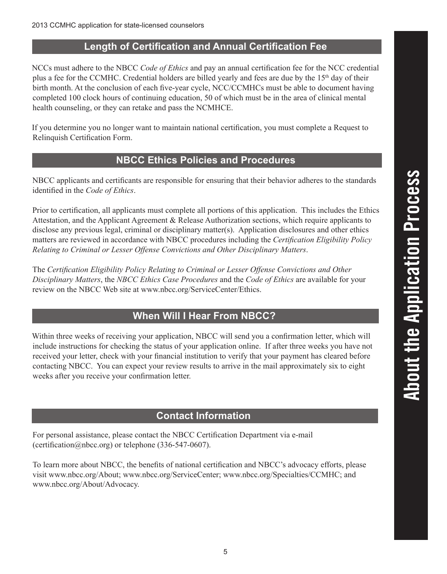NCCs must adhere to the NBCC *Code of Ethics* and pay an annual certification fee for the NCC credential plus a fee for the CCMHC. Credential holders are billed yearly and fees are due by the 15th day of their birth month. At the conclusion of each five-year cycle, NCC/CCMHCs must be able to document having completed 100 clock hours of continuing education, 50 of which must be in the area of clinical mental health counseling, or they can retake and pass the NCMHCE.

If you determine you no longer want to maintain national certification, you must complete a Request to Relinquish Certification Form.

## **NBCC Ethics Policies and Procedures**

NBCC applicants and certificants are responsible for ensuring that their behavior adheres to the standards identified in the *Code of Ethics*.

Prior to certification, all applicants must complete all portions of this application. This includes the Ethics Attestation, and the Applicant Agreement & Release Authorization sections, which require applicants to disclose any previous legal, criminal or disciplinary matter(s). Application disclosures and other ethics matters are reviewed in accordance with NBCC procedures including the *Certification Eligibility Policy Relating to Criminal or Lesser Offense Convictions and Other Disciplinary Matters*.

The *Certification Eligibility Policy Relating to Criminal or Lesser Offense Convictions and Other Disciplinary Matters*, the *NBCC Ethics Case Procedures* and the *Code of Ethics* are available for your review on the NBCC Web site at www.nbcc.org/ServiceCenter/Ethics.

## **When Will I Hear From NBCC?**

Within three weeks of receiving your application, NBCC will send you a confirmation letter, which will include instructions for checking the status of your application online. If after three weeks you have not received your letter, check with your financial institution to verify that your payment has cleared before contacting NBCC. You can expect your review results to arrive in the mail approximately six to eight weeks after you receive your confirmation letter.

## **Contact Information**

For personal assistance, please contact the NBCC Certification Department via e-mail (certification@nbcc.org) or telephone (336-547-0607).

To learn more about NBCC, the benefits of national certification and NBCC's advocacy efforts, please visit www.nbcc.org/About; www.nbcc.org/ServiceCenter; www.nbcc.org/Specialties/CCMHC; and www.nbcc.org/About/Advocacy.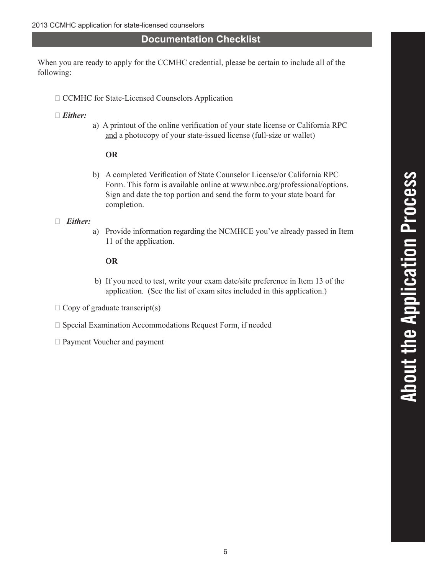## **Documentation Checklist**

When you are ready to apply for the CCMHC credential, please be certain to include all of the following:

- □ CCMHC for State-Licensed Counselors Application
- **�** *Either:*
- a) A printout of the online verification of your state license or California RPC and a photocopy of your state-issued license (full-size or wallet)

#### **OR**

b) A completed Verification of State Counselor License/or California RPC Form. This form is available online at www.nbcc.org/professional/options. Sign and date the top portion and send the form to your state board for completion.

#### **�** *Either:*

a) Provide information regarding the NCMHCE you've already passed in Item 11 of the application.

#### **OR**

- b) If you need to test, write your exam date/site preference in Item 13 of the application. (See the list of exam sites included in this application.)
- □ Copy of graduate transcript(s)
- □ Special Examination Accommodations Request Form, if needed
- **□ Payment Voucher and payment**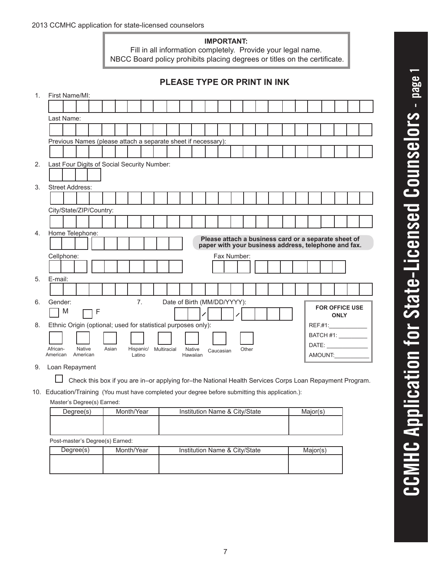#### **IMPORTANT:**

Fill in all information completely. Provide your legal name. NBCC Board policy prohibits placing degrees or titles on the certificate.

|                | <b>PLEASE TYPE OR PRINT IN INK</b>                                                                             |  |
|----------------|----------------------------------------------------------------------------------------------------------------|--|
| $\mathbf{1}$ . | First Name/MI:                                                                                                 |  |
|                |                                                                                                                |  |
|                | Last Name:                                                                                                     |  |
|                |                                                                                                                |  |
|                | Previous Names (please attach a separate sheet if necessary):                                                  |  |
|                |                                                                                                                |  |
| 2.             | Last Four Digits of Social Security Number:                                                                    |  |
|                |                                                                                                                |  |
| 3.             | <b>Street Address:</b>                                                                                         |  |
|                |                                                                                                                |  |
|                | City/State/ZIP/Country:                                                                                        |  |
|                |                                                                                                                |  |
| 4.             | Home Telephone:                                                                                                |  |
|                | Please attach a business card or a separate sheet of<br>paper with your business address, telephone and fax.   |  |
|                | Cellphone:<br>Fax Number:                                                                                      |  |
|                |                                                                                                                |  |
| 5.             | E-mail:                                                                                                        |  |
|                |                                                                                                                |  |
| 6.             | Date of Birth (MM/DD/YYYY):<br>7 <sub>1</sub><br>Gender:                                                       |  |
|                | <b>FOR OFFICE USE</b><br>M<br>$\mathsf{F}$<br><b>ONLY</b>                                                      |  |
| 8.             | Ethnic Origin (optional; used for statistical purposes only):                                                  |  |
|                | BATCH #1: __________                                                                                           |  |
|                | DATE:<br>African-<br><b>Native</b><br>Asian<br>Hispanic/<br>Multiracial<br><b>Native</b><br>Other<br>Caucasian |  |
|                | AMOUNT:<br>American<br>American<br>Latino<br>Hawaiian                                                          |  |

9. Loan Repayment

□ Check this box if you are in–or applying for–the National Health Services Corps Loan Repayment Program.

10. Education/Training (You must have completed your degree before submitting this application.):

#### Master's Degree(s) Earned:

| Degree(s)                       | Month/Year | Institution Name & City/State | Major(s) |  |  |  |
|---------------------------------|------------|-------------------------------|----------|--|--|--|
|                                 |            |                               |          |  |  |  |
|                                 |            |                               |          |  |  |  |
| Post-master's Degree(s) Earned: |            |                               |          |  |  |  |

| Degree(s) | Month/Year | Institution Name & City/State | Major(s) |
|-----------|------------|-------------------------------|----------|
|           |            |                               |          |
|           |            |                               |          |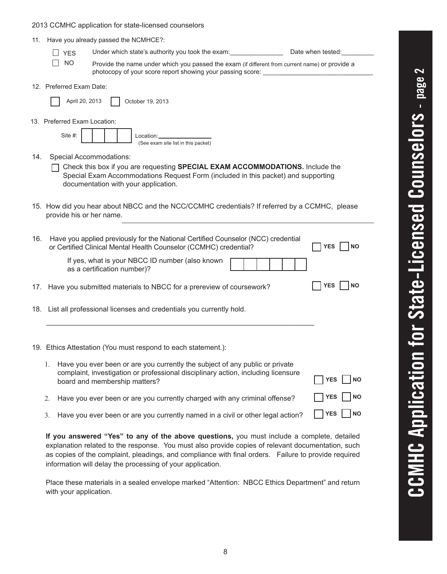#### 2013 CCMHC application for state-licensed counselors

|  | 11. Have you already passed the NCMHCE?: |
|--|------------------------------------------|
|--|------------------------------------------|

| $\Box$ YES         | Under which state's authority you took the exam:                                                                                                             | Date when tested: |
|--------------------|--------------------------------------------------------------------------------------------------------------------------------------------------------------|-------------------|
| $\vert$ $\vert$ NO | Provide the name under which you passed the exam (if different from current name) or provide a<br>photocopy of your score report showing your passing score: |                   |

12. Preferred Exam Date:

|  | April 20, 2013 |  | $\vert$ October 19, 2013 |  |
|--|----------------|--|--------------------------|--|
|--|----------------|--|--------------------------|--|

13. Preferred Exam Location:

| Site #: |  |  | Location:                           |
|---------|--|--|-------------------------------------|
|         |  |  | (See exam site list in this packet) |

- 14. Special Accommodations:
	- Check this box if you are requesting **SPECIAL EXAM ACCOMMODATIONS.** Include the Special Exam Accommodations Request Form (included in this packet) and supporting documentation with your application.
- 15. How did you hear about NBCC and the NCC/CCMHC credentials? If referred by a CCMHC, please provide his or her name.

| 16. | Have you applied previously for the National Certified Counselor (NCC) credential<br>or Certified Clinical Mental Health Counselor (CCMHC) credential? | <b>INO</b><br><b>YES</b> |
|-----|--------------------------------------------------------------------------------------------------------------------------------------------------------|--------------------------|
|     | If yes, what is your NBCC ID number (also known<br>as a certification number)?                                                                         |                          |
|     | 17. Have you submitted materials to NBCC for a prereview of coursework?                                                                                | <b>YES</b><br><b>NO</b>  |
|     | 18. List all professional licenses and credentials you currently hold.                                                                                 |                          |
|     |                                                                                                                                                        |                          |
|     | 19. Ethics Attestation (You must respond to each statement.):                                                                                          |                          |
|     | Have you ever been or are you currently the subject of any public or private                                                                           |                          |

| complaint, investigation or professional disciplinary action, including licensure<br>board and membership matters? | $\Box$ YES $\Box$ NO |
|--------------------------------------------------------------------------------------------------------------------|----------------------|
| 2. Have you ever been or are you currently charged with any criminal offense?                                      | $\Box$ YES $\Box$ NO |

3. Have you ever been or are you currently named in a civil or other legal action?

**If you answered "Yes" to any of the above questions,** you must include a complete, detailed explanation related to the response. You must also provide copies of relevant documentation, such as copies of the complaint, pleadings, and compliance with final orders. Failure to provide required information will delay the processing of your application.

Place these materials in a sealed envelope marked "Attention: NBCC Ethics Department" and return with your application.

YES | NO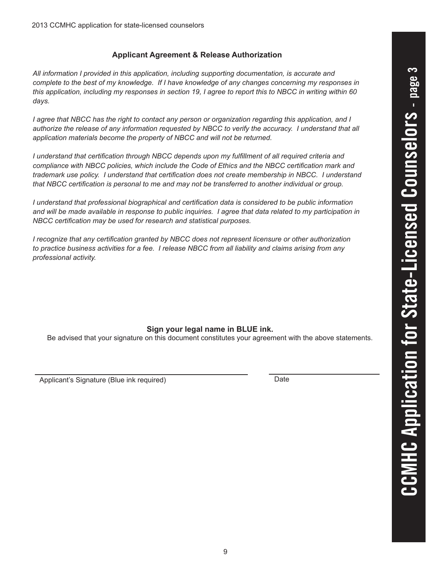#### **Applicant Agreement & Release Authorization**

*All information I provided in this application, including supporting documentation, is accurate and complete to the best of my knowledge. If I have knowledge of any changes concerning my responses in this application, including my responses in section 19, I agree to report this to NBCC in writing within 60 days.*

*I agree that NBCC has the right to contact any person or organization regarding this application, and I authorize the release of any information requested by NBCC to verify the accuracy. I understand that all application materials become the property of NBCC and will not be returned.*

*I understand that certification through NBCC depends upon my fulfillment of all required criteria and compliance with NBCC policies, which include the Code of Ethics and the NBCC certification mark and trademark use policy. I understand that certification does not create membership in NBCC. I understand that NBCC certification is personal to me and may not be transferred to another individual or group.*

*I* understand that professional biographical and certification data is considered to be public information *and will be made available in response to public inquiries. I agree that data related to my participation in NBCC certification may be used for research and statistical purposes.*

*I recognize that any certification granted by NBCC does not represent licensure or other authorization to practice business activities for a fee. I release NBCC from all liability and claims arising from any professional activity.*

### **Sign your legal name in BLUE ink.**

Be advised that your signature on this document constitutes your agreement with the above statements.

Applicant's Signature (Blue ink required) Manuson Contracts and Date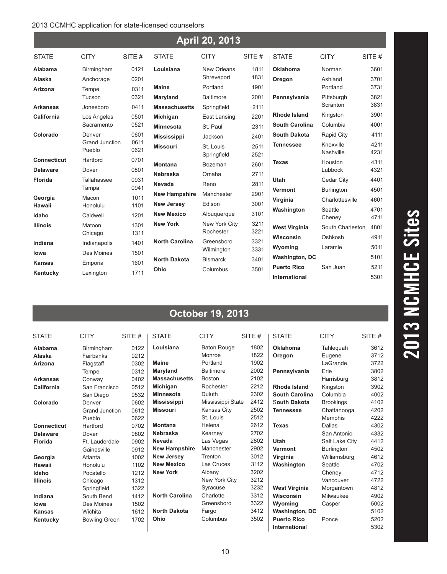#### 2013 CCMHC application for state-licensed counselors

| <b>April 20, 2013</b> |                          |              |                       |                            |              |                       |                        |              |
|-----------------------|--------------------------|--------------|-----------------------|----------------------------|--------------|-----------------------|------------------------|--------------|
| <b>STATE</b>          | <b>CITY</b>              | SITE $#$     | <b>STATE</b>          | <b>CITY</b>                | SITE#        | <b>STATE</b>          | <b>CITY</b>            | SITE#        |
| Alabama               | Birmingham               | 0121         | Louisiana             | New Orleans                | 1811         | <b>Oklahoma</b>       | Norman                 | 3601         |
| Alaska                | Anchorage                | 0201         |                       | Shreveport                 | 1831         | Oregon                | Ashland                | 3701         |
| Arizona               | Tempe                    | 0311         | <b>Maine</b>          | Portland                   | 1901         |                       | Portland               | 3731         |
|                       | Tucson                   | 0321         | Maryland              | <b>Baltimore</b>           | 2001         | Pennsylvania          | Pittsburgh             | 3821         |
| <b>Arkansas</b>       | Jonesboro                | 0411         | <b>Massachusetts</b>  | Springfield                | 2111         |                       | Scranton               | 3831         |
| California            | Los Angeles              | 0501         | Michigan              | East Lansing               | 2201         | <b>Rhode Island</b>   | Kingston               | 3901         |
|                       | Sacramento               | 0521         | <b>Minnesota</b>      | St. Paul                   | 2311         | <b>South Carolina</b> | Columbia               | 4001         |
| Colorado              | Denver                   | 0601         | <b>Mississippi</b>    | Jackson                    | 2401         | <b>South Dakota</b>   | Rapid City             | 4111         |
|                       | Grand Junction<br>Pueblo | 0611<br>0621 | <b>Missouri</b>       | St. Louis<br>Springfield   | 2511<br>2521 | <b>Tennessee</b>      | Knoxville<br>Nashville | 4211<br>4231 |
| <b>Connecticut</b>    | Hartford                 | 0701         | <b>Montana</b>        | Bozeman                    | 2601         | <b>Texas</b>          | Houston                | 4311         |
| <b>Delaware</b>       | Dover                    | 0801         | <b>Nebraska</b>       | Omaha                      | 2711         |                       | Lubbock                | 4321         |
| <b>Florida</b>        | Tallahassee              | 0931         | Nevada                | Reno                       | 2811         | <b>Utah</b>           | Cedar City             | 4401         |
|                       | Tampa                    | 0941         | <b>New Hampshire</b>  | Manchester                 | 2901         | <b>Vermont</b>        | <b>Burlington</b>      | 4501         |
| Georgia<br>Hawaii     | Macon<br>Honolulu        | 1011<br>1101 | <b>New Jersey</b>     | Edison                     | 3001         | Virginia              | Charlottesville        | 4601         |
| Idaho                 | Caldwell                 | 1201         | <b>New Mexico</b>     | Albuquerque                | 3101         | Washington            | Seattle<br>Cheney      | 4701<br>4711 |
| <b>Illinois</b>       | Matoon<br>Chicago        | 1301<br>1311 | <b>New York</b>       | New York City<br>Rochester | 3211<br>3221 | <b>West Virginia</b>  | South Charleston       | 4801         |
| Indiana               | Indianapolis             | 1401         | <b>North Carolina</b> | Greensboro                 | 3321         | Wisconsin             | Oshkosh                | 4911         |
| lowa                  | Des Moines               | 1501         |                       | Wilmington                 | 3331         | Wyoming               | Laramie                | 5011         |
| <b>Kansas</b>         | Emporia                  | 1601         | <b>North Dakota</b>   | <b>Bismarck</b>            | 3401         | <b>Washington, DC</b> |                        | 5101         |
| Kentucky              | Lexington                | 1711         | Ohio                  | Columbus                   | 3501         | <b>Puerto Rico</b>    | San Juan               | 5211         |
|                       |                          |              |                       |                            |              | International         |                        | 5301         |

## **October 19, 2013**

| <b>STATE</b>       | <b>CITY</b>           | SITE # | <b>STATE</b>          | <b>CITY</b>        | SITE $#$ | <b>STATE</b>          | <b>CITY</b>      | SITE # |
|--------------------|-----------------------|--------|-----------------------|--------------------|----------|-----------------------|------------------|--------|
| Alabama            | Birmingham            | 0122   | Louisiana             | <b>Baton Rouge</b> | 1802     | <b>Oklahoma</b>       | Tahleguah        | 3612   |
| Alaska             | Fairbanks             | 0212   |                       | Monroe             | 1822     | Oregon                | Eugene           | 3712   |
| Arizona            | Flagstaff             | 0302   | <b>Maine</b>          | Portland           | 1902     |                       | LaGrande         | 3722   |
|                    | Tempe                 | 0312   | Maryland              | <b>Baltimore</b>   | 2002     | Pennsylvania          | Erie             | 3802   |
| <b>Arkansas</b>    | Conway                | 0402   | <b>Massachusetts</b>  | <b>Boston</b>      | 2102     |                       | Harrisburg       | 3812   |
| California         | San Francisco         | 0512   | Michigan              | Rochester          | 2212     | <b>Rhode Island</b>   | Kingston         | 3902   |
|                    | San Diego             | 0532   | <b>Minnesota</b>      | Duluth             | 2302     | <b>South Carolina</b> | Columbia         | 4002   |
| Colorado           | Denver                | 0602   | <b>Mississippi</b>    | Mississippi State  | 2412     | South Dakota          | <b>Brookings</b> | 4102   |
|                    | <b>Grand Junction</b> | 0612   | <b>Missouri</b>       | Kansas City        | 2502     | <b>Tennessee</b>      | Chattanooga      | 4202   |
|                    | Pueblo                | 0622   |                       | St. Louis          | 2512     |                       | Memphis          | 4222   |
| <b>Connecticut</b> | Hartford              | 0702   | <b>Montana</b>        | Helena             | 2612     | <b>Texas</b>          | <b>Dallas</b>    | 4302   |
| <b>Delaware</b>    | Dover                 | 0802   | Nebraska              | Kearney            | 2702     |                       | San Antonio      | 4332   |
| <b>Florida</b>     | Ft. Lauderdale        | 0902   | Nevada                | Las Vegas          | 2802     | <b>Utah</b>           | Salt Lake City   | 4412   |
|                    | Gainesville           | 0912   | <b>New Hampshire</b>  | Manchester         | 2902     | <b>Vermont</b>        | Burlington       | 4502   |
| Georgia            | Atlanta               | 1002   | <b>New Jersey</b>     | Trenton            | 3012     | Virginia              | Williamsburg     | 4612   |
| Hawaii             | Honolulu              | 1102   | <b>New Mexico</b>     | Las Cruces         | 3112     | Washington            | Seattle          | 4702   |
| Idaho              | Pocatello             | 1212   | <b>New York</b>       | Albany             | 3202     |                       | Cheney           | 4712   |
| <b>Illinois</b>    | Chicago               | 1312   |                       | New York City      | 3212     |                       | Vancouver        | 4722   |
|                    | Springfield           | 1322   |                       | Syracuse           | 3232     | <b>West Virginia</b>  | Morgantown       | 4812   |
| Indiana            | South Bend            | 1412   | <b>North Carolina</b> | Charlotte          | 3312     | Wisconsin             | Milwaukee        | 4902   |
| lowa               | Des Moines            | 1502   |                       | Greensboro         | 3322     | Wyoming               | Casper           | 5002   |
| <b>Kansas</b>      | Wichita               | 1612   | <b>North Dakota</b>   | Fargo              | 3412     | <b>Washington, DC</b> |                  | 5102   |
| Kentucky           | <b>Bowling Green</b>  | 1702   | Ohio                  | Columbus           | 3502     | <b>Puerto Rico</b>    | Ponce            | 5202   |
|                    |                       |        |                       |                    |          | <b>International</b>  |                  | 5302   |

# 2013 NCMHCE Sites  **2013 NCMHCE Sites**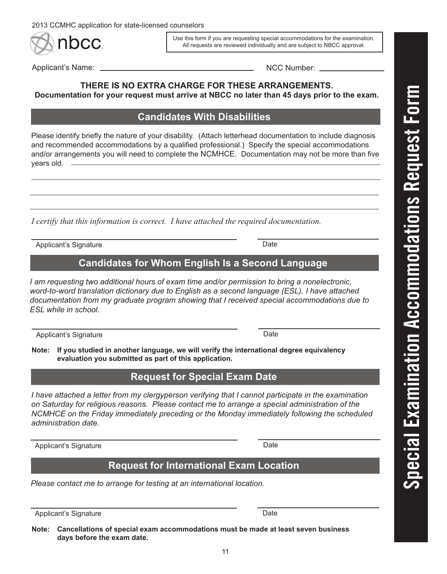nbcc.

Use this form if you are requesting special accommodations for the examination. All requests are reviewed individually and are subject to NBCC approval.

Applicant's Name: NCC Number:

#### **THERE IS NO EXTRA CHARGE FOR THESE ARRANGEMENTS. Documentation for your request must arrive at NBCC no later than 45 days prior to the exam.**

## **Candidates With Disabilities**

Please identify briefly the nature of your disability. (Attach letterhead documentation to include diagnosis and recommended accommodations by a qualified professional.) Specify the special accommodations and/or arrangements you will need to complete the NCMHCE. Documentation may not be more than five years old. -

*I certify that this information is correct. I have attached the required documentation.*

Applicant's Signature **Date** 

## **Candidates for Whom English Is a Second Language**

*I am requesting two additional hours of exam time and/or permission to bring a nonelectronic, word-to-word translation dictionary due to English as a second language (ESL). I have attached documentation from my graduate program showing that I received special accommodations due to ESL while in school.*

Applicant's Signature **Date** 

**Note: If you studied in another language, we will verify the international degree equivalency evaluation you submitted as part of this application.**

## **Request for Special Exam Date**

*I have attached a letter from my clergyperson verifying that I cannot participate in the examination on Saturday for religious reasons. Please contact me to arrange a special administration of the NCMHCE on the Friday immediately preceding or the Monday immediately following the scheduled administration date.* 

Applicant's Signature Date

## **Request for International Exam Location**

*Please contact me to arrange for testing at an international location.*

Applicant's Signature Date

**Note: Cancellations of special exam accommodations must be made at least seven business days before the exam date.**